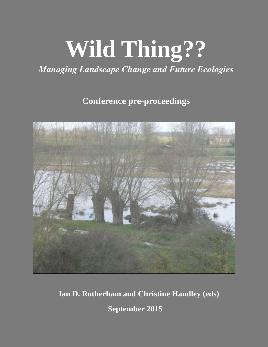# **Wild Thing??**

*Managing Landscape Change and Future Ecologies*

**Conference pre-proceedings**



**Ian D. Rotherham and Christine Handley (eds) September 2015**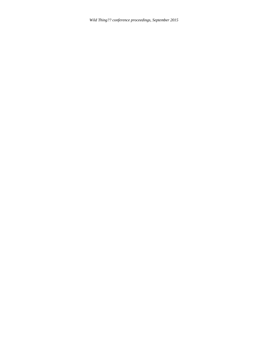*Wild Thing?? conference proceedings, September 2015*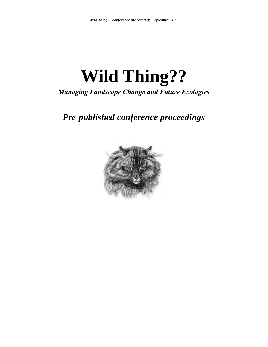# **Wild Thing??**

#### *Managing Landscape Change and Future Ecologies*

### *Pre-published conference proceedings*

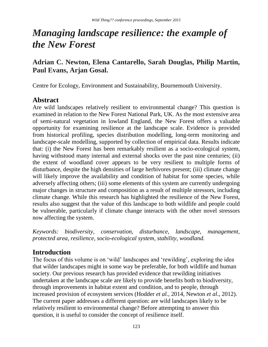## *Managing landscape resilience: the example of the New Forest*

**Adrian C. Newton, Elena Cantarello, Sarah Douglas, Philip Martin, Paul Evans, Arjan Gosal.** 

Centre for Ecology, Environment and Sustainability, Bournemouth University.

#### **Abstract**

Are wild landscapes relatively resilient to environmental change? This question is examined in relation to the New Forest National Park, UK. As the most extensive area of semi-natural vegetation in lowland England, the New Forest offers a valuable opportunity for examining resilience at the landscape scale. Evidence is provided from historical profiling, species distribution modelling, long-term monitoring and landscape-scale modelling, supported by collection of empirical data. Results indicate that: (i) the New Forest has been remarkably resilient as a socio-ecological system, having withstood many internal and external shocks over the past nine centuries; (ii) the extent of woodland cover appears to be very resilient to multiple forms of disturbance, despite the high densities of large herbivores present; (iii) climate change will likely improve the availability and condition of habitat for some species, while adversely affecting others; (iii) some elements of this system are currently undergoing major changes in structure and composition as a result of multiple stressors, including climate change. While this research has highlighted the resilience of the New Forest, results also suggest that the value of this landscape to both wildlife and people could be vulnerable, particularly if climate change interacts with the other novel stressors now affecting the system.

*Keywords: biodiversity, conservation, disturbance, landscape, management, protected area, resilience, socio-ecological system, stability, woodland.*

#### **Introduction**

The focus of this volume is on 'wild' landscapes and 'rewilding', exploring the idea that wilder landscapes might in some way be preferable, for both wildlife and human society. Our previous research has provided evidence that rewilding initiatives undertaken at the landscape scale are likely to provide benefits both to biodiversity, through improvements in habitat extent and condition, and to people, through increased provision of ecosystem services (Hodder *et al.,* 2014, Newton *et al*., 2012). The current paper addresses a different question: are wild landscapes likely to be relatively resilient to environmental change? Before attempting to answer this question, it is useful to consider the concept of resilience itself.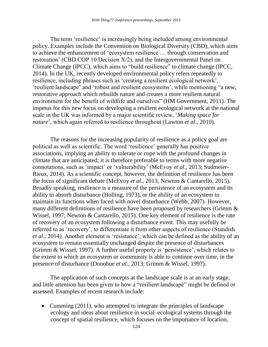The term 'resilience' is increasingly being included among environmental policy. Examples include the Convention on Biological Diversity (CBD), which aims to achieve the enhancement of 'ecosystem resilience … through conservation and restoration' (CBD COP 10 Decision X/2), and the Intergovernmental Panel on Climate Change (IPCC), which aims to "build resilience" to climate change (IPCC, 2014). In the UK, recently developed environmental policy refers repeatedly to resilience, including phrases such as 'creating a resilient ecological network', 'resilient landscape' and 'robust and resilient ecosystems', while mentioning "a new, restorative approach which rebuilds nature and creates a more resilient natural environment for the benefit of wildlife and ourselves" (HM Government, 2011). The impetus for this new focus on developing a resilient ecological network at the national scale in the UK was informed by a major scientific review, '*Making space for nature*', which again referred to resilience throughout (Lawton *et al*., 2010).

The reasons for the increasing popularity of resilience as a policy goal are political as well as scientific. The word 'resilience' generally has positive associations, implying an ability to tolerate or cope with the profound changes in climate that are anticipated; it is therefore preferable to terms with more negative connotations, such as 'impact' or 'vulnerability' (McEvoy *et al.,* 2013; Sudmeier-Rieux, 2014). As a scientific concept, however, the definition of resilience has been the focus of significant debate (McEvoy *et al.,* 2013, Newton & Cantarello, 2015). Broadly speaking, resilience is a measure of the persistence of an ecosystem and its ability to absorb disturbance (Holling, 1973), or the ability of an ecosystem to maintain its functions when faced with novel disturbance (Webb, 2007). However, many different definitions of resilience have been proposed by researchers (Grimm & Wissel, 1997; Newton & Cantarello, 2015). One key element of resilience is the rate of recovery of an ecosystem following a disturbance event. This may usefully be referred to as 'recovery', to differentiate it from other aspects of resilience (Standish *et al*., 2014). Another element is 'resistance', which can be defined as the ability of an ecosystem to remain essentially unchanged despite the presence of disturbances [\(Grimm & Wissel, 1997\).](file:///C:/Users/Chris/Desktop/Wild%20Thing%20pre-proceedings%200915/adrian%20newton/Newton%20et%20al.%20v1.doc%23_ENREF_40) A further useful property is 'persistence', which relates to the extent to which an ecosystem or community is able to continue over time, in the presence of disturbance (Donohue *et al.,* 2013; Grimm & Wissel, 1997).

The application of such concepts at the landscape scale is at an early stage, and little attention has been given to how a "resilient landscape" might be defined or assessed. Examples of recent research include:

• Cumming (2011), who attempted to integrate the principles of landscape ecology and ideas about resilience in social–ecological systems through the concept of spatial resilience, which focuses on the importance of location,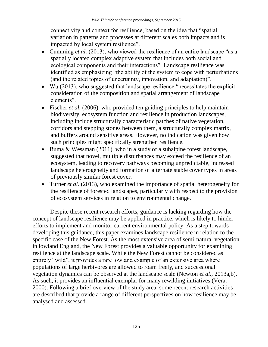connectivity and context for resilience, based on the idea that "spatial variation in patterns and processes at different scales both impacts and is impacted by local system resilience".

- Cumming *et al.* (2013), who viewed the resilience of an entire landscape "as a spatially located complex adaptive system that includes both social and ecological components and their interactions". Landscape resilience was identified as emphasizing "the ability of the system to cope with perturbations (and the related topics of uncertainty, innovation, and adaptation)".
- Wu (2013), who suggested that landscape resilience "necessitates the explicit consideration of the composition and spatial arrangement of landscape elements".
- Fischer *et al.* (2006), who provided ten guiding principles to help maintain biodiversity, ecosystem function and resilience in production landscapes, including include structurally characteristic patches of native vegetation, corridors and stepping stones between them, a structurally complex matrix, and buffers around sensitive areas. However, no indication was given how such principles might specifically strengthen resilience.
- $\bullet$  Buma & Wessman (2011), who in a study of a subalpine forest landscape, suggested that novel, multiple disturbances may exceed the resilience of an ecosystem, leading to recovery pathways becoming unpredictable, increased landscape heterogeneity and formation of alternate stable cover types in areas of previously similar forest cover.
- Turner *et al.* (2013), who examined the importance of spatial heterogeneity for the resilience of forested landscapes, particularly with respect to the provision of ecosystem services in relation to environmental change.

Despite these recent research efforts, guidance is lacking regarding how the concept of landscape resilience may be applied in practice, which is likely to hinder efforts to implement and monitor current environmental policy. As a step towards developing this guidance, this paper examines landscape resilience in relation to the specific case of the New Forest. As the most extensive area of semi-natural vegetation in lowland England, the New Forest provides a valuable opportunity for examining resilience at the landscape scale. While the New Forest cannot be considered as entirely "wild", it provides a rare lowland example of an extensive area where populations of large herbivores are allowed to roam freely, and successional vegetation dynamics can be observed at the landscape scale (Newton *et al*., 2013a,b). As such, it provides an influential exemplar for many rewilding initiatives (Vera, 2000). Following a brief overview of the study area, some recent research activities are described that provide a range of different perspectives on how resilience may be analysed and assessed.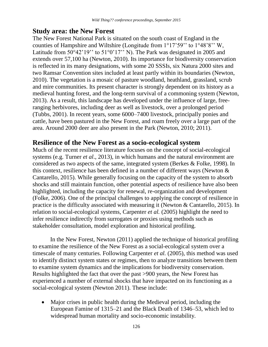#### **Study area: the New Forest**

The New Forest National Park is situated on the south coast of England in the counties of Hampshire and Wiltshire (Longitude from 1°17'59'' to 1°48'8'' W, Latitude from 50°42'19'' to 51°0'17'' N). The Park was designated in 2005 and extends over 57,100 ha (Newton, 2010). Its importance for biodiversity conservation is reflected in its many designations, with some 20 SSSIs, six Natura 2000 sites and two Ramsar Convention sites included at least partly within its boundaries (Newton, 2010). The vegetation is a mosaic of pasture woodland, heathland, grassland, scrub and mire communities. Its present character is strongly dependent on its history as a medieval hunting forest, and the long-term survival of a commoning system (Newton, 2013). As a result, this landscape has developed under the influence of large, freeranging herbivores, including deer as well as livestock, over a prolonged period (Tubbs, 2001). In recent years, some 6000–7400 livestock, principally ponies and cattle, have been pastured in the New Forest, and roam freely over a large part of the area. Around 2000 deer are also present in the Park (Newton, 2010; 2011).

#### **Resilience of the New Forest as a socio-ecological system**

Much of the recent resilience literature focuses on the concept of social-ecological systems (e.g. Turner *et al*., 2013), in which humans and the natural environment are considered as two aspects of the same, integrated system (Berkes  $\&$  Folke, 1998). In this context, resilience has been defined in a number of different ways (Newton & Cantarello, 2015). While generally focusing on the capacity of the system to absorb shocks and still maintain function, other potential aspects of resilience have also been highlighted, including the capacity for renewal, re-organization and development (Folke, 2006). One of the principal challenges to applying the concept of resilience in practice is the difficulty associated with measuring it (Newton & Cantarello, 2015). In relation to social-ecological systems, Carpenter *et al.* (2005) highlight the need to infer resilience indirectly from surrogates or proxies using methods such as stakeholder consultation, model exploration and historical profiling.

In the New Forest, Newton (2011) applied the technique of historical profiling to examine the resilience of the New Forest as a social-ecological system over a timescale of many centuries. Following Carpenter *et al.* (2005), this method was used to identify distinct system states or regimes, then to analyze transitions between them to examine system dynamics and the implications for biodiversity conservation. Results highlighted the fact that over the past >900 years, the New Forest has experienced a number of external shocks that have impacted on its functioning as a social-ecological system (Newton 2011). These include:

 Major crises in public health during the Medieval period, including the European Famine of 1315–21 and the Black Death of 1346–53, which led to widespread human mortality and socio-economic instability.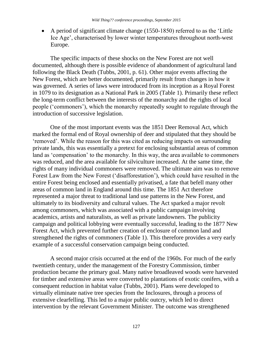A period of significant climate change (1550-1850) referred to as the 'Little Ice Age', characterised by lower winter temperatures throughout north-west Europe.

The specific impacts of these shocks on the New Forest are not well documented, although there is possible evidence of abandonment of agricultural land following the Black Death (Tubbs, 2001, p. 61). Other major events affecting the New Forest, which are better documented, primarily result from changes in how it was governed. A series of laws were introduced from its inception as a Royal Forest in 1079 to its designation as a National Park in 2005 (Table 1). Primarily these reflect the long-term conflict between the interests of the monarchy and the rights of local people ('commoners'), which the monarchy repeatedly sought to regulate through the introduction of successive legislation.

One of the most important events was the 1851 Deer Removal Act, which marked the formal end of Royal ownership of deer and stipulated that they should be 'removed'. While the reason for this was cited as reducing impacts on surrounding private lands, this was essentially a pretext for enclosing substantial areas of common land as 'compensation' to the monarchy. In this way, the area available to commoners was reduced, and the area available for silviculture increased. At the same time, the rights of many individual commoners were removed. The ultimate aim was to remove Forest Law from the New Forest ('disafforestation'), which could have resulted in the entire Forest being enclosed and essentially privatised, a fate that befell many other areas of common land in England around this time. The 1851 Act therefore represented a major threat to traditional land use patterns in the New Forest, and ultimately to its biodiversity and cultural values. The Act sparked a major revolt among commoners, which was associated with a public campaign involving academics, artists and naturalists, as well as private landowners. The publicity campaign and political lobbying were eventually successful, leading to the 1877 New Forest Act, which prevented further creation of enclosure of common land and strengthened the rights of commoners (Table 1). This therefore provides a very early example of a successful conservation campaign being conducted.

A second major crisis occurred at the end of the 1960s. For much of the early twentieth century, under the management of the Forestry Commission, timber production became the primary goal. Many native broadleaved woods were harvested for timber and extensive areas were converted to plantations of exotic conifers, with a consequent reduction in habitat value (Tubbs, 2001). Plans were developed to virtually eliminate native tree species from the Inclosures, through a process of extensive clearfelling. This led to a major public outcry, which led to direct intervention by the relevant Government Minister. The outcome was strengthened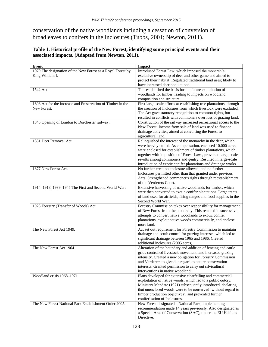conservation of the native woodlands including a cessation of conversion of broadleaves to conifers in the Inclosures (Tubbs, 2001; Newton, 2011).

| Table 1. Historical profile of the New Forest, identifying some principal events and their |
|--------------------------------------------------------------------------------------------|
| associated impacts. (Adapted from Newton, 2011).                                           |

| 1079 The designation of the New Forest as a Royal Forest by<br>Introduced Forest Law, which imposed the monarch's<br>King William I.<br>exclusive ownership of deer and other game and aimed to<br>protect their habitat. Regulated traditional land uses; likely to<br>have increased deer populations.<br>This established the basis for the future exploitation of<br>1542 Act<br>woodlands for timber, leading to impacts on woodland<br>composition and structure.<br>1698 Act for the Increase and Preservation of Timber in the<br>First large-scale efforts at establishing tree plantations, through<br>New Forest.<br>the creation of Inclosures from which livestock were excluded.<br>The Act gave statutory recognition to common rights, but<br>resulted in conflicts with commoners over loss of grazing land.<br>Construction of the railway increased recreational access to the<br>1845 Opening of London to Dorchester railway.<br>New Forest. Income from sale of land was used to finance<br>drainage activities, aimed at converting the Forest to<br>agricultural land.<br>1851 Deer Removal Act.<br>Relinquished the interest of the monarchy in the deer, which<br>were heavily culled. As compensation, enclosed 10,000 acres<br>were enclosed for establishment of timber plantations, which<br>together with imposition of Forest Laws, provoked large-scale<br>revolts among commoners and gentry. Resulted in large-scale<br>introduction of exotic conifer plantations and drainage works.<br>No further creation enclosure allowed, and no further<br>1877 New Forest Act.<br>Inclosures permitted other than that granted under previous<br>Acts. Strengthened commoner's rights through reestablishment<br>of the Verderers Court.<br>1914-1918, 1939-1945 The First and Second World Wars<br>Extensive harvesting of native woodlands for timber, which<br>were then converted to exotic conifer plantations. Large tracts<br>of land used for airfields, firing ranges and food supplies in the<br>Second World War.<br>1923 Forestry (Transfer of Woods) Act<br>Forestry Commission takes over responsibility for management<br>of New Forest from the monarchy. This resulted in successive<br>attempts to convert native woodlands to exotic conifer<br>plantations, exploit native woods commercially, and enclose<br>more land.<br>The New Forest Act 1949.<br>Act set out requirement for Forestry Commission to maintain<br>drainage and scrub control for grazing interests, which led to<br>significant drainage between 1965 and 1986. Created<br>additional Inclosures (2005 acres).<br>The New Forest Act 1964.<br>Alteration of the boundary and addition of fencing and cattle<br>grids controlled livestock movement, and increased grazing<br>intensity. Created a new obligation for Forestry Commission<br>and Verderers to give due regard to nature conservation<br>interests. Granted permission to carry out silvicultural<br>interventions in native woodland.<br>Woodland crisis 1968-1971.<br>Plans developed for extensive clearfelling and commercial<br>exploitation of native woods, which led to a public outcry.<br>Ministers Mandate (1971) subsequently introduced, declaring<br>that unenclosed woods were to be conserved 'without regard to<br>timber production objectives', and prevented further<br>coniferisation of Inclosures.<br>The New Forest National Park Establishment Order 2005.<br>New Forest designated a National Park, implementing a<br>recommendation made 14 years previously. Also designated as<br>a Special Area of Conservation (SAC), under the EU Habitats | <b>Event</b> | Impact     |
|---------------------------------------------------------------------------------------------------------------------------------------------------------------------------------------------------------------------------------------------------------------------------------------------------------------------------------------------------------------------------------------------------------------------------------------------------------------------------------------------------------------------------------------------------------------------------------------------------------------------------------------------------------------------------------------------------------------------------------------------------------------------------------------------------------------------------------------------------------------------------------------------------------------------------------------------------------------------------------------------------------------------------------------------------------------------------------------------------------------------------------------------------------------------------------------------------------------------------------------------------------------------------------------------------------------------------------------------------------------------------------------------------------------------------------------------------------------------------------------------------------------------------------------------------------------------------------------------------------------------------------------------------------------------------------------------------------------------------------------------------------------------------------------------------------------------------------------------------------------------------------------------------------------------------------------------------------------------------------------------------------------------------------------------------------------------------------------------------------------------------------------------------------------------------------------------------------------------------------------------------------------------------------------------------------------------------------------------------------------------------------------------------------------------------------------------------------------------------------------------------------------------------------------------------------------------------------------------------------------------------------------------------------------------------------------------------------------------------------------------------------------------------------------------------------------------------------------------------------------------------------------------------------------------------------------------------------------------------------------------------------------------------------------------------------------------------------------------------------------------------------------------------------------------------------------------------------------------------------------------------------------------------------------------------------------------------------------------------------------------------------------------------------------------------------------------------------------------------------------------------------------------------------------------------------------------------------------------------------------------------------------------------------------|--------------|------------|
|                                                                                                                                                                                                                                                                                                                                                                                                                                                                                                                                                                                                                                                                                                                                                                                                                                                                                                                                                                                                                                                                                                                                                                                                                                                                                                                                                                                                                                                                                                                                                                                                                                                                                                                                                                                                                                                                                                                                                                                                                                                                                                                                                                                                                                                                                                                                                                                                                                                                                                                                                                                                                                                                                                                                                                                                                                                                                                                                                                                                                                                                                                                                                                                                                                                                                                                                                                                                                                                                                                                                                                                                                                                               |              |            |
|                                                                                                                                                                                                                                                                                                                                                                                                                                                                                                                                                                                                                                                                                                                                                                                                                                                                                                                                                                                                                                                                                                                                                                                                                                                                                                                                                                                                                                                                                                                                                                                                                                                                                                                                                                                                                                                                                                                                                                                                                                                                                                                                                                                                                                                                                                                                                                                                                                                                                                                                                                                                                                                                                                                                                                                                                                                                                                                                                                                                                                                                                                                                                                                                                                                                                                                                                                                                                                                                                                                                                                                                                                                               |              |            |
|                                                                                                                                                                                                                                                                                                                                                                                                                                                                                                                                                                                                                                                                                                                                                                                                                                                                                                                                                                                                                                                                                                                                                                                                                                                                                                                                                                                                                                                                                                                                                                                                                                                                                                                                                                                                                                                                                                                                                                                                                                                                                                                                                                                                                                                                                                                                                                                                                                                                                                                                                                                                                                                                                                                                                                                                                                                                                                                                                                                                                                                                                                                                                                                                                                                                                                                                                                                                                                                                                                                                                                                                                                                               |              |            |
|                                                                                                                                                                                                                                                                                                                                                                                                                                                                                                                                                                                                                                                                                                                                                                                                                                                                                                                                                                                                                                                                                                                                                                                                                                                                                                                                                                                                                                                                                                                                                                                                                                                                                                                                                                                                                                                                                                                                                                                                                                                                                                                                                                                                                                                                                                                                                                                                                                                                                                                                                                                                                                                                                                                                                                                                                                                                                                                                                                                                                                                                                                                                                                                                                                                                                                                                                                                                                                                                                                                                                                                                                                                               |              |            |
|                                                                                                                                                                                                                                                                                                                                                                                                                                                                                                                                                                                                                                                                                                                                                                                                                                                                                                                                                                                                                                                                                                                                                                                                                                                                                                                                                                                                                                                                                                                                                                                                                                                                                                                                                                                                                                                                                                                                                                                                                                                                                                                                                                                                                                                                                                                                                                                                                                                                                                                                                                                                                                                                                                                                                                                                                                                                                                                                                                                                                                                                                                                                                                                                                                                                                                                                                                                                                                                                                                                                                                                                                                                               |              |            |
|                                                                                                                                                                                                                                                                                                                                                                                                                                                                                                                                                                                                                                                                                                                                                                                                                                                                                                                                                                                                                                                                                                                                                                                                                                                                                                                                                                                                                                                                                                                                                                                                                                                                                                                                                                                                                                                                                                                                                                                                                                                                                                                                                                                                                                                                                                                                                                                                                                                                                                                                                                                                                                                                                                                                                                                                                                                                                                                                                                                                                                                                                                                                                                                                                                                                                                                                                                                                                                                                                                                                                                                                                                                               |              |            |
|                                                                                                                                                                                                                                                                                                                                                                                                                                                                                                                                                                                                                                                                                                                                                                                                                                                                                                                                                                                                                                                                                                                                                                                                                                                                                                                                                                                                                                                                                                                                                                                                                                                                                                                                                                                                                                                                                                                                                                                                                                                                                                                                                                                                                                                                                                                                                                                                                                                                                                                                                                                                                                                                                                                                                                                                                                                                                                                                                                                                                                                                                                                                                                                                                                                                                                                                                                                                                                                                                                                                                                                                                                                               |              |            |
|                                                                                                                                                                                                                                                                                                                                                                                                                                                                                                                                                                                                                                                                                                                                                                                                                                                                                                                                                                                                                                                                                                                                                                                                                                                                                                                                                                                                                                                                                                                                                                                                                                                                                                                                                                                                                                                                                                                                                                                                                                                                                                                                                                                                                                                                                                                                                                                                                                                                                                                                                                                                                                                                                                                                                                                                                                                                                                                                                                                                                                                                                                                                                                                                                                                                                                                                                                                                                                                                                                                                                                                                                                                               |              |            |
|                                                                                                                                                                                                                                                                                                                                                                                                                                                                                                                                                                                                                                                                                                                                                                                                                                                                                                                                                                                                                                                                                                                                                                                                                                                                                                                                                                                                                                                                                                                                                                                                                                                                                                                                                                                                                                                                                                                                                                                                                                                                                                                                                                                                                                                                                                                                                                                                                                                                                                                                                                                                                                                                                                                                                                                                                                                                                                                                                                                                                                                                                                                                                                                                                                                                                                                                                                                                                                                                                                                                                                                                                                                               |              |            |
|                                                                                                                                                                                                                                                                                                                                                                                                                                                                                                                                                                                                                                                                                                                                                                                                                                                                                                                                                                                                                                                                                                                                                                                                                                                                                                                                                                                                                                                                                                                                                                                                                                                                                                                                                                                                                                                                                                                                                                                                                                                                                                                                                                                                                                                                                                                                                                                                                                                                                                                                                                                                                                                                                                                                                                                                                                                                                                                                                                                                                                                                                                                                                                                                                                                                                                                                                                                                                                                                                                                                                                                                                                                               |              |            |
|                                                                                                                                                                                                                                                                                                                                                                                                                                                                                                                                                                                                                                                                                                                                                                                                                                                                                                                                                                                                                                                                                                                                                                                                                                                                                                                                                                                                                                                                                                                                                                                                                                                                                                                                                                                                                                                                                                                                                                                                                                                                                                                                                                                                                                                                                                                                                                                                                                                                                                                                                                                                                                                                                                                                                                                                                                                                                                                                                                                                                                                                                                                                                                                                                                                                                                                                                                                                                                                                                                                                                                                                                                                               |              |            |
|                                                                                                                                                                                                                                                                                                                                                                                                                                                                                                                                                                                                                                                                                                                                                                                                                                                                                                                                                                                                                                                                                                                                                                                                                                                                                                                                                                                                                                                                                                                                                                                                                                                                                                                                                                                                                                                                                                                                                                                                                                                                                                                                                                                                                                                                                                                                                                                                                                                                                                                                                                                                                                                                                                                                                                                                                                                                                                                                                                                                                                                                                                                                                                                                                                                                                                                                                                                                                                                                                                                                                                                                                                                               |              |            |
|                                                                                                                                                                                                                                                                                                                                                                                                                                                                                                                                                                                                                                                                                                                                                                                                                                                                                                                                                                                                                                                                                                                                                                                                                                                                                                                                                                                                                                                                                                                                                                                                                                                                                                                                                                                                                                                                                                                                                                                                                                                                                                                                                                                                                                                                                                                                                                                                                                                                                                                                                                                                                                                                                                                                                                                                                                                                                                                                                                                                                                                                                                                                                                                                                                                                                                                                                                                                                                                                                                                                                                                                                                                               |              |            |
|                                                                                                                                                                                                                                                                                                                                                                                                                                                                                                                                                                                                                                                                                                                                                                                                                                                                                                                                                                                                                                                                                                                                                                                                                                                                                                                                                                                                                                                                                                                                                                                                                                                                                                                                                                                                                                                                                                                                                                                                                                                                                                                                                                                                                                                                                                                                                                                                                                                                                                                                                                                                                                                                                                                                                                                                                                                                                                                                                                                                                                                                                                                                                                                                                                                                                                                                                                                                                                                                                                                                                                                                                                                               |              |            |
|                                                                                                                                                                                                                                                                                                                                                                                                                                                                                                                                                                                                                                                                                                                                                                                                                                                                                                                                                                                                                                                                                                                                                                                                                                                                                                                                                                                                                                                                                                                                                                                                                                                                                                                                                                                                                                                                                                                                                                                                                                                                                                                                                                                                                                                                                                                                                                                                                                                                                                                                                                                                                                                                                                                                                                                                                                                                                                                                                                                                                                                                                                                                                                                                                                                                                                                                                                                                                                                                                                                                                                                                                                                               |              |            |
|                                                                                                                                                                                                                                                                                                                                                                                                                                                                                                                                                                                                                                                                                                                                                                                                                                                                                                                                                                                                                                                                                                                                                                                                                                                                                                                                                                                                                                                                                                                                                                                                                                                                                                                                                                                                                                                                                                                                                                                                                                                                                                                                                                                                                                                                                                                                                                                                                                                                                                                                                                                                                                                                                                                                                                                                                                                                                                                                                                                                                                                                                                                                                                                                                                                                                                                                                                                                                                                                                                                                                                                                                                                               |              |            |
|                                                                                                                                                                                                                                                                                                                                                                                                                                                                                                                                                                                                                                                                                                                                                                                                                                                                                                                                                                                                                                                                                                                                                                                                                                                                                                                                                                                                                                                                                                                                                                                                                                                                                                                                                                                                                                                                                                                                                                                                                                                                                                                                                                                                                                                                                                                                                                                                                                                                                                                                                                                                                                                                                                                                                                                                                                                                                                                                                                                                                                                                                                                                                                                                                                                                                                                                                                                                                                                                                                                                                                                                                                                               |              |            |
|                                                                                                                                                                                                                                                                                                                                                                                                                                                                                                                                                                                                                                                                                                                                                                                                                                                                                                                                                                                                                                                                                                                                                                                                                                                                                                                                                                                                                                                                                                                                                                                                                                                                                                                                                                                                                                                                                                                                                                                                                                                                                                                                                                                                                                                                                                                                                                                                                                                                                                                                                                                                                                                                                                                                                                                                                                                                                                                                                                                                                                                                                                                                                                                                                                                                                                                                                                                                                                                                                                                                                                                                                                                               |              |            |
|                                                                                                                                                                                                                                                                                                                                                                                                                                                                                                                                                                                                                                                                                                                                                                                                                                                                                                                                                                                                                                                                                                                                                                                                                                                                                                                                                                                                                                                                                                                                                                                                                                                                                                                                                                                                                                                                                                                                                                                                                                                                                                                                                                                                                                                                                                                                                                                                                                                                                                                                                                                                                                                                                                                                                                                                                                                                                                                                                                                                                                                                                                                                                                                                                                                                                                                                                                                                                                                                                                                                                                                                                                                               |              |            |
|                                                                                                                                                                                                                                                                                                                                                                                                                                                                                                                                                                                                                                                                                                                                                                                                                                                                                                                                                                                                                                                                                                                                                                                                                                                                                                                                                                                                                                                                                                                                                                                                                                                                                                                                                                                                                                                                                                                                                                                                                                                                                                                                                                                                                                                                                                                                                                                                                                                                                                                                                                                                                                                                                                                                                                                                                                                                                                                                                                                                                                                                                                                                                                                                                                                                                                                                                                                                                                                                                                                                                                                                                                                               |              |            |
|                                                                                                                                                                                                                                                                                                                                                                                                                                                                                                                                                                                                                                                                                                                                                                                                                                                                                                                                                                                                                                                                                                                                                                                                                                                                                                                                                                                                                                                                                                                                                                                                                                                                                                                                                                                                                                                                                                                                                                                                                                                                                                                                                                                                                                                                                                                                                                                                                                                                                                                                                                                                                                                                                                                                                                                                                                                                                                                                                                                                                                                                                                                                                                                                                                                                                                                                                                                                                                                                                                                                                                                                                                                               |              |            |
|                                                                                                                                                                                                                                                                                                                                                                                                                                                                                                                                                                                                                                                                                                                                                                                                                                                                                                                                                                                                                                                                                                                                                                                                                                                                                                                                                                                                                                                                                                                                                                                                                                                                                                                                                                                                                                                                                                                                                                                                                                                                                                                                                                                                                                                                                                                                                                                                                                                                                                                                                                                                                                                                                                                                                                                                                                                                                                                                                                                                                                                                                                                                                                                                                                                                                                                                                                                                                                                                                                                                                                                                                                                               |              |            |
|                                                                                                                                                                                                                                                                                                                                                                                                                                                                                                                                                                                                                                                                                                                                                                                                                                                                                                                                                                                                                                                                                                                                                                                                                                                                                                                                                                                                                                                                                                                                                                                                                                                                                                                                                                                                                                                                                                                                                                                                                                                                                                                                                                                                                                                                                                                                                                                                                                                                                                                                                                                                                                                                                                                                                                                                                                                                                                                                                                                                                                                                                                                                                                                                                                                                                                                                                                                                                                                                                                                                                                                                                                                               |              |            |
|                                                                                                                                                                                                                                                                                                                                                                                                                                                                                                                                                                                                                                                                                                                                                                                                                                                                                                                                                                                                                                                                                                                                                                                                                                                                                                                                                                                                                                                                                                                                                                                                                                                                                                                                                                                                                                                                                                                                                                                                                                                                                                                                                                                                                                                                                                                                                                                                                                                                                                                                                                                                                                                                                                                                                                                                                                                                                                                                                                                                                                                                                                                                                                                                                                                                                                                                                                                                                                                                                                                                                                                                                                                               |              |            |
|                                                                                                                                                                                                                                                                                                                                                                                                                                                                                                                                                                                                                                                                                                                                                                                                                                                                                                                                                                                                                                                                                                                                                                                                                                                                                                                                                                                                                                                                                                                                                                                                                                                                                                                                                                                                                                                                                                                                                                                                                                                                                                                                                                                                                                                                                                                                                                                                                                                                                                                                                                                                                                                                                                                                                                                                                                                                                                                                                                                                                                                                                                                                                                                                                                                                                                                                                                                                                                                                                                                                                                                                                                                               |              |            |
|                                                                                                                                                                                                                                                                                                                                                                                                                                                                                                                                                                                                                                                                                                                                                                                                                                                                                                                                                                                                                                                                                                                                                                                                                                                                                                                                                                                                                                                                                                                                                                                                                                                                                                                                                                                                                                                                                                                                                                                                                                                                                                                                                                                                                                                                                                                                                                                                                                                                                                                                                                                                                                                                                                                                                                                                                                                                                                                                                                                                                                                                                                                                                                                                                                                                                                                                                                                                                                                                                                                                                                                                                                                               |              |            |
|                                                                                                                                                                                                                                                                                                                                                                                                                                                                                                                                                                                                                                                                                                                                                                                                                                                                                                                                                                                                                                                                                                                                                                                                                                                                                                                                                                                                                                                                                                                                                                                                                                                                                                                                                                                                                                                                                                                                                                                                                                                                                                                                                                                                                                                                                                                                                                                                                                                                                                                                                                                                                                                                                                                                                                                                                                                                                                                                                                                                                                                                                                                                                                                                                                                                                                                                                                                                                                                                                                                                                                                                                                                               |              |            |
|                                                                                                                                                                                                                                                                                                                                                                                                                                                                                                                                                                                                                                                                                                                                                                                                                                                                                                                                                                                                                                                                                                                                                                                                                                                                                                                                                                                                                                                                                                                                                                                                                                                                                                                                                                                                                                                                                                                                                                                                                                                                                                                                                                                                                                                                                                                                                                                                                                                                                                                                                                                                                                                                                                                                                                                                                                                                                                                                                                                                                                                                                                                                                                                                                                                                                                                                                                                                                                                                                                                                                                                                                                                               |              |            |
|                                                                                                                                                                                                                                                                                                                                                                                                                                                                                                                                                                                                                                                                                                                                                                                                                                                                                                                                                                                                                                                                                                                                                                                                                                                                                                                                                                                                                                                                                                                                                                                                                                                                                                                                                                                                                                                                                                                                                                                                                                                                                                                                                                                                                                                                                                                                                                                                                                                                                                                                                                                                                                                                                                                                                                                                                                                                                                                                                                                                                                                                                                                                                                                                                                                                                                                                                                                                                                                                                                                                                                                                                                                               |              |            |
|                                                                                                                                                                                                                                                                                                                                                                                                                                                                                                                                                                                                                                                                                                                                                                                                                                                                                                                                                                                                                                                                                                                                                                                                                                                                                                                                                                                                                                                                                                                                                                                                                                                                                                                                                                                                                                                                                                                                                                                                                                                                                                                                                                                                                                                                                                                                                                                                                                                                                                                                                                                                                                                                                                                                                                                                                                                                                                                                                                                                                                                                                                                                                                                                                                                                                                                                                                                                                                                                                                                                                                                                                                                               |              |            |
|                                                                                                                                                                                                                                                                                                                                                                                                                                                                                                                                                                                                                                                                                                                                                                                                                                                                                                                                                                                                                                                                                                                                                                                                                                                                                                                                                                                                                                                                                                                                                                                                                                                                                                                                                                                                                                                                                                                                                                                                                                                                                                                                                                                                                                                                                                                                                                                                                                                                                                                                                                                                                                                                                                                                                                                                                                                                                                                                                                                                                                                                                                                                                                                                                                                                                                                                                                                                                                                                                                                                                                                                                                                               |              |            |
|                                                                                                                                                                                                                                                                                                                                                                                                                                                                                                                                                                                                                                                                                                                                                                                                                                                                                                                                                                                                                                                                                                                                                                                                                                                                                                                                                                                                                                                                                                                                                                                                                                                                                                                                                                                                                                                                                                                                                                                                                                                                                                                                                                                                                                                                                                                                                                                                                                                                                                                                                                                                                                                                                                                                                                                                                                                                                                                                                                                                                                                                                                                                                                                                                                                                                                                                                                                                                                                                                                                                                                                                                                                               |              |            |
|                                                                                                                                                                                                                                                                                                                                                                                                                                                                                                                                                                                                                                                                                                                                                                                                                                                                                                                                                                                                                                                                                                                                                                                                                                                                                                                                                                                                                                                                                                                                                                                                                                                                                                                                                                                                                                                                                                                                                                                                                                                                                                                                                                                                                                                                                                                                                                                                                                                                                                                                                                                                                                                                                                                                                                                                                                                                                                                                                                                                                                                                                                                                                                                                                                                                                                                                                                                                                                                                                                                                                                                                                                                               |              |            |
|                                                                                                                                                                                                                                                                                                                                                                                                                                                                                                                                                                                                                                                                                                                                                                                                                                                                                                                                                                                                                                                                                                                                                                                                                                                                                                                                                                                                                                                                                                                                                                                                                                                                                                                                                                                                                                                                                                                                                                                                                                                                                                                                                                                                                                                                                                                                                                                                                                                                                                                                                                                                                                                                                                                                                                                                                                                                                                                                                                                                                                                                                                                                                                                                                                                                                                                                                                                                                                                                                                                                                                                                                                                               |              |            |
|                                                                                                                                                                                                                                                                                                                                                                                                                                                                                                                                                                                                                                                                                                                                                                                                                                                                                                                                                                                                                                                                                                                                                                                                                                                                                                                                                                                                                                                                                                                                                                                                                                                                                                                                                                                                                                                                                                                                                                                                                                                                                                                                                                                                                                                                                                                                                                                                                                                                                                                                                                                                                                                                                                                                                                                                                                                                                                                                                                                                                                                                                                                                                                                                                                                                                                                                                                                                                                                                                                                                                                                                                                                               |              |            |
|                                                                                                                                                                                                                                                                                                                                                                                                                                                                                                                                                                                                                                                                                                                                                                                                                                                                                                                                                                                                                                                                                                                                                                                                                                                                                                                                                                                                                                                                                                                                                                                                                                                                                                                                                                                                                                                                                                                                                                                                                                                                                                                                                                                                                                                                                                                                                                                                                                                                                                                                                                                                                                                                                                                                                                                                                                                                                                                                                                                                                                                                                                                                                                                                                                                                                                                                                                                                                                                                                                                                                                                                                                                               |              |            |
|                                                                                                                                                                                                                                                                                                                                                                                                                                                                                                                                                                                                                                                                                                                                                                                                                                                                                                                                                                                                                                                                                                                                                                                                                                                                                                                                                                                                                                                                                                                                                                                                                                                                                                                                                                                                                                                                                                                                                                                                                                                                                                                                                                                                                                                                                                                                                                                                                                                                                                                                                                                                                                                                                                                                                                                                                                                                                                                                                                                                                                                                                                                                                                                                                                                                                                                                                                                                                                                                                                                                                                                                                                                               |              |            |
|                                                                                                                                                                                                                                                                                                                                                                                                                                                                                                                                                                                                                                                                                                                                                                                                                                                                                                                                                                                                                                                                                                                                                                                                                                                                                                                                                                                                                                                                                                                                                                                                                                                                                                                                                                                                                                                                                                                                                                                                                                                                                                                                                                                                                                                                                                                                                                                                                                                                                                                                                                                                                                                                                                                                                                                                                                                                                                                                                                                                                                                                                                                                                                                                                                                                                                                                                                                                                                                                                                                                                                                                                                                               |              |            |
|                                                                                                                                                                                                                                                                                                                                                                                                                                                                                                                                                                                                                                                                                                                                                                                                                                                                                                                                                                                                                                                                                                                                                                                                                                                                                                                                                                                                                                                                                                                                                                                                                                                                                                                                                                                                                                                                                                                                                                                                                                                                                                                                                                                                                                                                                                                                                                                                                                                                                                                                                                                                                                                                                                                                                                                                                                                                                                                                                                                                                                                                                                                                                                                                                                                                                                                                                                                                                                                                                                                                                                                                                                                               |              |            |
|                                                                                                                                                                                                                                                                                                                                                                                                                                                                                                                                                                                                                                                                                                                                                                                                                                                                                                                                                                                                                                                                                                                                                                                                                                                                                                                                                                                                                                                                                                                                                                                                                                                                                                                                                                                                                                                                                                                                                                                                                                                                                                                                                                                                                                                                                                                                                                                                                                                                                                                                                                                                                                                                                                                                                                                                                                                                                                                                                                                                                                                                                                                                                                                                                                                                                                                                                                                                                                                                                                                                                                                                                                                               |              |            |
|                                                                                                                                                                                                                                                                                                                                                                                                                                                                                                                                                                                                                                                                                                                                                                                                                                                                                                                                                                                                                                                                                                                                                                                                                                                                                                                                                                                                                                                                                                                                                                                                                                                                                                                                                                                                                                                                                                                                                                                                                                                                                                                                                                                                                                                                                                                                                                                                                                                                                                                                                                                                                                                                                                                                                                                                                                                                                                                                                                                                                                                                                                                                                                                                                                                                                                                                                                                                                                                                                                                                                                                                                                                               |              |            |
|                                                                                                                                                                                                                                                                                                                                                                                                                                                                                                                                                                                                                                                                                                                                                                                                                                                                                                                                                                                                                                                                                                                                                                                                                                                                                                                                                                                                                                                                                                                                                                                                                                                                                                                                                                                                                                                                                                                                                                                                                                                                                                                                                                                                                                                                                                                                                                                                                                                                                                                                                                                                                                                                                                                                                                                                                                                                                                                                                                                                                                                                                                                                                                                                                                                                                                                                                                                                                                                                                                                                                                                                                                                               |              |            |
|                                                                                                                                                                                                                                                                                                                                                                                                                                                                                                                                                                                                                                                                                                                                                                                                                                                                                                                                                                                                                                                                                                                                                                                                                                                                                                                                                                                                                                                                                                                                                                                                                                                                                                                                                                                                                                                                                                                                                                                                                                                                                                                                                                                                                                                                                                                                                                                                                                                                                                                                                                                                                                                                                                                                                                                                                                                                                                                                                                                                                                                                                                                                                                                                                                                                                                                                                                                                                                                                                                                                                                                                                                                               |              |            |
|                                                                                                                                                                                                                                                                                                                                                                                                                                                                                                                                                                                                                                                                                                                                                                                                                                                                                                                                                                                                                                                                                                                                                                                                                                                                                                                                                                                                                                                                                                                                                                                                                                                                                                                                                                                                                                                                                                                                                                                                                                                                                                                                                                                                                                                                                                                                                                                                                                                                                                                                                                                                                                                                                                                                                                                                                                                                                                                                                                                                                                                                                                                                                                                                                                                                                                                                                                                                                                                                                                                                                                                                                                                               |              |            |
|                                                                                                                                                                                                                                                                                                                                                                                                                                                                                                                                                                                                                                                                                                                                                                                                                                                                                                                                                                                                                                                                                                                                                                                                                                                                                                                                                                                                                                                                                                                                                                                                                                                                                                                                                                                                                                                                                                                                                                                                                                                                                                                                                                                                                                                                                                                                                                                                                                                                                                                                                                                                                                                                                                                                                                                                                                                                                                                                                                                                                                                                                                                                                                                                                                                                                                                                                                                                                                                                                                                                                                                                                                                               |              |            |
|                                                                                                                                                                                                                                                                                                                                                                                                                                                                                                                                                                                                                                                                                                                                                                                                                                                                                                                                                                                                                                                                                                                                                                                                                                                                                                                                                                                                                                                                                                                                                                                                                                                                                                                                                                                                                                                                                                                                                                                                                                                                                                                                                                                                                                                                                                                                                                                                                                                                                                                                                                                                                                                                                                                                                                                                                                                                                                                                                                                                                                                                                                                                                                                                                                                                                                                                                                                                                                                                                                                                                                                                                                                               |              |            |
|                                                                                                                                                                                                                                                                                                                                                                                                                                                                                                                                                                                                                                                                                                                                                                                                                                                                                                                                                                                                                                                                                                                                                                                                                                                                                                                                                                                                                                                                                                                                                                                                                                                                                                                                                                                                                                                                                                                                                                                                                                                                                                                                                                                                                                                                                                                                                                                                                                                                                                                                                                                                                                                                                                                                                                                                                                                                                                                                                                                                                                                                                                                                                                                                                                                                                                                                                                                                                                                                                                                                                                                                                                                               |              |            |
|                                                                                                                                                                                                                                                                                                                                                                                                                                                                                                                                                                                                                                                                                                                                                                                                                                                                                                                                                                                                                                                                                                                                                                                                                                                                                                                                                                                                                                                                                                                                                                                                                                                                                                                                                                                                                                                                                                                                                                                                                                                                                                                                                                                                                                                                                                                                                                                                                                                                                                                                                                                                                                                                                                                                                                                                                                                                                                                                                                                                                                                                                                                                                                                                                                                                                                                                                                                                                                                                                                                                                                                                                                                               |              |            |
|                                                                                                                                                                                                                                                                                                                                                                                                                                                                                                                                                                                                                                                                                                                                                                                                                                                                                                                                                                                                                                                                                                                                                                                                                                                                                                                                                                                                                                                                                                                                                                                                                                                                                                                                                                                                                                                                                                                                                                                                                                                                                                                                                                                                                                                                                                                                                                                                                                                                                                                                                                                                                                                                                                                                                                                                                                                                                                                                                                                                                                                                                                                                                                                                                                                                                                                                                                                                                                                                                                                                                                                                                                                               |              |            |
|                                                                                                                                                                                                                                                                                                                                                                                                                                                                                                                                                                                                                                                                                                                                                                                                                                                                                                                                                                                                                                                                                                                                                                                                                                                                                                                                                                                                                                                                                                                                                                                                                                                                                                                                                                                                                                                                                                                                                                                                                                                                                                                                                                                                                                                                                                                                                                                                                                                                                                                                                                                                                                                                                                                                                                                                                                                                                                                                                                                                                                                                                                                                                                                                                                                                                                                                                                                                                                                                                                                                                                                                                                                               |              |            |
|                                                                                                                                                                                                                                                                                                                                                                                                                                                                                                                                                                                                                                                                                                                                                                                                                                                                                                                                                                                                                                                                                                                                                                                                                                                                                                                                                                                                                                                                                                                                                                                                                                                                                                                                                                                                                                                                                                                                                                                                                                                                                                                                                                                                                                                                                                                                                                                                                                                                                                                                                                                                                                                                                                                                                                                                                                                                                                                                                                                                                                                                                                                                                                                                                                                                                                                                                                                                                                                                                                                                                                                                                                                               |              |            |
|                                                                                                                                                                                                                                                                                                                                                                                                                                                                                                                                                                                                                                                                                                                                                                                                                                                                                                                                                                                                                                                                                                                                                                                                                                                                                                                                                                                                                                                                                                                                                                                                                                                                                                                                                                                                                                                                                                                                                                                                                                                                                                                                                                                                                                                                                                                                                                                                                                                                                                                                                                                                                                                                                                                                                                                                                                                                                                                                                                                                                                                                                                                                                                                                                                                                                                                                                                                                                                                                                                                                                                                                                                                               |              | Directive. |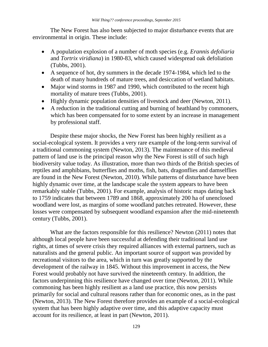The New Forest has also been subjected to major disturbance events that are environmental in origin. These include:

- A population explosion of a number of moth species (e.g. *Erannis defoliaria*  and *Tortrix viridiana*) in 1980-83, which caused widespread oak defoliation (Tubbs, 2001).
- A sequence of hot, dry summers in the decade 1974-1984, which led to the death of many hundreds of mature trees, and desiccation of wetland habitats.
- Major wind storms in 1987 and 1990, which contributed to the recent high mortality of mature trees (Tubbs, 2001).
- Highly dynamic population densities of livestock and deer (Newton, 2011).
- A reduction in the traditional cutting and burning of heathland by commoners, which has been compensated for to some extent by an increase in management by professional staff.

Despite these major shocks, the New Forest has been highly resilient as a social-ecological system. It provides a very rare example of the long-term survival of a traditional commoning system (Newton, 2013). The maintenance of this medieval pattern of land use is the principal reason why the New Forest is still of such high biodiversity value today. As illustration, more than two thirds of the British species of reptiles and amphibians, butterflies and moths, fish, bats, dragonflies and damselflies are found in the New Forest (Newton, 2010). While patterns of disturbance have been highly dynamic over time, at the landscape scale the system appears to have been remarkably stable (Tubbs, 2001). For example, analysis of historic maps dating back to 1759 indicates that between 1789 and 1868, approximately 200 ha of unenclosed woodland were lost, as margins of some woodland patches retreated. However, these losses were compensated by subsequent woodland expansion after the mid-nineteenth century (Tubbs, 2001).

What are the factors responsible for this resilience? Newton (2011) notes that although local people have been successful at defending their traditional land use rights, at times of severe crisis they required alliances with external partners, such as naturalists and the general public. An important source of support was provided by recreational visitors to the area, which in turn was greatly supported by the development of the railway in 1845. Without this improvement in access, the New Forest would probably not have survived the nineteenth century. In addition, the factors underpinning this resilience have changed over time (Newton, 2011). While commoning has been highly resilient as a land use practice, this now persists primarily for social and cultural reasons rather than for economic ones, as in the past (Newton, 2013). The New Forest therefore provides an example of a social-ecological system that has been highly adaptive over time, and this adaptive capacity must account for its resilience, at least in part (Newton, 2011).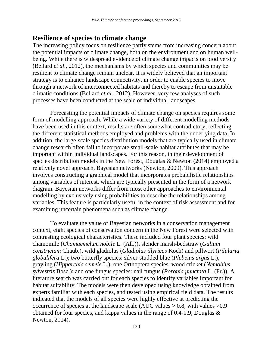#### **Resilience of species to climate change**

The increasing policy focus on resilience partly stems from increasing concern about the potential impacts of climate change, both on the environment and on human wellbeing. While there is widespread evidence of climate change impacts on biodiversity (Bellard *et al*., 2012), the mechanisms by which species and communities may be resilient to climate change remain unclear. It is widely believed that an important strategy is to enhance landscape connectivity, in order to enable species to move through a network of interconnected habitats and thereby to escape from unsuitable climatic conditions (Bellard *et al*., 2012). However, very few analyses of such processes have been conducted at the scale of individual landscapes.

Forecasting the potential impacts of climate change on species requires some form of modelling approach. While a wide variety of different modelling methods have been used in this context, results are often somewhat contradictory, reflecting the different statistical methods employed and problems with the underlying data. In addition, the large-scale species distribution models that are typically used in climate change research often fail to incorporate small-scale habitat attributes that may be important within individual landscapes. For this reason, in their development of species distribution models in the New Forest, Douglas & Newton (2014) employed a relatively novel approach, Bayesian networks (Newton, 2009). This approach involves constructing a graphical model that incorporates probabilistic relationships among variables of interest, which are typically presented in the form of a network diagram. Bayesian networks differ from most other approaches to environmental modelling by exclusively using probabilities to describe the relationships among variables. This feature is particularly useful in the context of risk assessment and for examining uncertain phenomena such as climate change.

To evaluate the value of Bayesian networks in a conservation management context, eight species of conservation concern in the New Forest were selected with contrasting ecological characteristics. These included four plant species: wild chamomile (*Chamaemelum nobile* L. (All.)), slender marsh-bedstraw (*Galium constrictum* Chaub.), wild gladiolus (*Gladiolus illyricus* Koch) and pillwort (*Pilularia globulifera* L.); two butterfly species: silver-studded blue (*Plebeius argus* L.), grayling (*Hipparchia semele* L.); one Orthoptera species: wood cricket (*Nemobius sylvestris* Bosc.); and one fungus species: nail fungus (*Poronia punctata* L. (Fr.)). A literature search was carried out for each species to identify variables important for habitat suitability. The models were then developed using knowledge obtained from experts familiar with each species, and tested using empirical field data. The results indicated that the models of all species were highly effective at predicting the occurrence of species at the landscape scale (AUC values  $> 0.8$ , with values  $> 0.9$ ) obtained for four species, and kappa values in the range of 0.4-0.9; Douglas & Newton, 2014).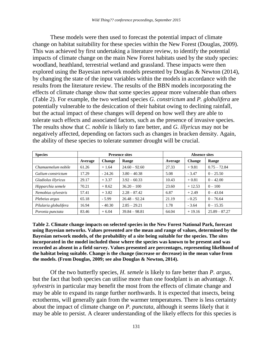These models were then used to forecast the potential impact of climate change on habitat suitability for these species within the New Forest (Douglas, 2009). This was achieved by first undertaking a literature review, to identify the potential impacts of climate change on the main New Forest habitats used by the study species: woodland, heathland, terrestrial wetland and grassland. These impacts were then explored using the Bayesian network models presented by Douglas & Newton (2014), by changing the state of the input variables within the models in accordance with the results from the literature review. The results of the BBN models incorporating the effects of climate change show that some species appear more vulnerable than others (Table 2). For example, the two wetland species *G. constrictum* and *P. globulifera* are potentially vulnerable to the desiccation of their habitat owing to declining rainfall, but the actual impact of these changes will depend on how well they are able to tolerate such effects and associated factors, such as the presence of invasive species. The results show that *C. nobile* is likely to fare better, and *G. illyricus* may not be negatively affected, depending on factors such as changes in bracken density. Again, the ability of these species to tolerate summer drought will be crucial.

| <b>Species</b>        | <b>Presence sites</b> |               | Absence sites   |         |               |                 |
|-----------------------|-----------------------|---------------|-----------------|---------|---------------|-----------------|
|                       | Average               | <b>Change</b> | <b>Range</b>    | Average | <b>Change</b> | Range           |
| Chamaemelum nobile    | 61.26                 | $+1.64$       | $24.60 - 92.60$ | 27.33   | $+9.81$       | $0.75 - 72.84$  |
| Galium constrictum    | 17.29                 | $-24.26$      | $3.80 - 40.38$  | 5.08    | $-3.47$       | $0 - 25.50$     |
| Gladiolus illyricus   | 29.17                 | $+3.37$       | $3.92 - 60.33$  | 10.43   | $+0.81$       | $0 - 42.00$     |
| Hipparchia semele     | 70.21                 | $+8.62$       | $36.20 - 100$   | 23.60   | $+12.53$      | $0 - 100$       |
| Nemobius sylvestris   | 57.41                 | $+3.82$       | $2.28 - 87.42$  | 6.87    | $+2.49$       | $0 - 43.04$     |
| Plebeius argus        | 65.18                 | $-5.99$       | $26.48 - 92.24$ | 21.19   | $-0.25$       | $0 - 76.64$     |
| Pilularia globulifera | 16.94                 | $-40.30$      | $2.85 - 29.21$  | 1.78    | $-3.64$       | $0 - 15.35$     |
| Poronia punctata      | 83.46                 | $+6.04$       | $39.84 - 98.81$ | 64.04   | $+19.16$      | $25.89 - 87.27$ |

**Table 2. Climate change impacts on selected species in the New Forest National Park, forecast using Bayesian networks. Values presented are the mean and range of values, determined by the Bayesian network models, of the probability of a site being suitable for the species. The sites incorporated in the model included those where the species was known to be present and was recorded as absent in a field survey. Values presented are percentages, representing likelihood of the habitat being suitable. Change is the change (increase or decrease) in the mean value from the models. (From Douglas, 2009; see also Douglas & Newton, 2014).**

Of the two butterfly species, *H. semele* is likely to fare better than *P. argus*, but the fact that both species can utilise more than one foodplant is an advantage. *N. sylvestris* in particular may benefit the most from the effects of climate change and may be able to expand its range further northwards. It is expected that insects, being ectotherms, will generally gain from the warmer temperatures. There is less certainty about the impact of climate change on *P. punctata*, although it seems likely that it may be able to persist. A clearer understanding of the likely effects for this species is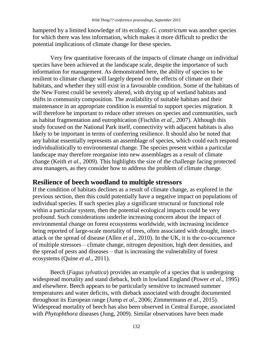hampered by a limited knowledge of its ecology. *G. constrictum* was another species for which there was less information, which makes it more difficult to predict the potential implications of climate change for these species.

Very few quantitative forecasts of the impacts of climate change on individual species have been achieved at the landscape scale, despite the importance of such information for management. As demonstrated here, the ability of species to be resilient to climate change will largely depend on the effects of climate on their habitats, and whether they still exist in a favourable condition. Some of the habitats of the New Forest could be severely altered, with drying up of wetland habitats and shifts in community composition. The availability of suitable habitats and their maintenance in an appropriate condition is essential to support species migration. It will therefore be important to reduce other stresses on species and communities, such as habitat fragmentation and eutrophication (Fischlin *et al.*, 2007). Although this study focused on the National Park itself, connectivity with adjacent habitats is also likely to be important in terms of conferring resilience. It should also be noted that any habitat essentially represents an assemblage of species, which could each respond individualistically to environmental change. The species present within a particular landscape may therefore reorganise into new assemblages as a result of climate change (Keith *et al.,* 2009). This highlights the size of the challenge facing protected area managers, as they consider how to address the problem of climate change.

#### **Resilience of beech woodland to multiple stressors**

If the condition of habitats declines as a result of climate change, as explored in the previous section, then this could potentially have a negative impact on populations of individual species. If such species play a significant structural or functional role within a particular system, then the potential ecological impacts could be very profound. Such considerations underlie increasing concern about the impact of environmental change on forest ecosystems worldwide, with increasing incidence being reported of large-scale mortality of trees, often associated with drought, insectattack or the spread of disease (Allen *et al*., 2010). In the UK, it is the co-occurrence of multiple stressors – climate change, nitrogen deposition, high deer densities, and the spread of pests and diseases – that is increasing the vulnerability of forest ecosystems (Quine *et al*., 2011).

Beech (*Fagus sylvatica*) provides an example of a species that is undergoing widespread mortality and stand dieback, both in lowland England (Power *et al.*, 1995) and elsewhere. Beech appears to be particularly sensitive to increased summer temperatures and water deficits, with dieback associated with drought documented throughout its European range (Jump *et al*., 2006; Zimmermann *et al.*, 2015). Widespread mortality of beech has also been observed in Central Europe, associated with *Phytophthora* diseases (Jung, 2009). Similar observations have been made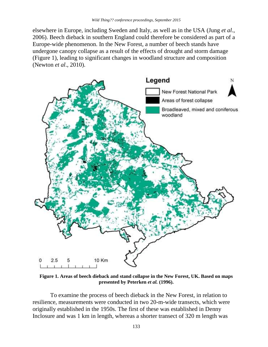elsewhere in Europe, including Sweden and Italy, as well as in the USA (Jung *et al*., 2006). Beech dieback in southern England could therefore be considered as part of a Europe-wide phenomenon. In the New Forest, a number of beech stands have undergone canopy collapse as a result of the effects of drought and storm damage (Figure 1), leading to significant changes in woodland structure and composition (Newton *et al*., 2010).



**Figure 1. Areas of beech dieback and stand collapse in the New Forest, UK. Based on maps presented by Peterken** *et al.* **(1996).**

To examine the process of beech dieback in the New Forest, in relation to resilience, measurements were conducted in two 20-m-wide transects, which were originally established in the 1950s. The first of these was established in Denny Inclosure and was 1 km in length, whereas a shorter transect of 320 m length was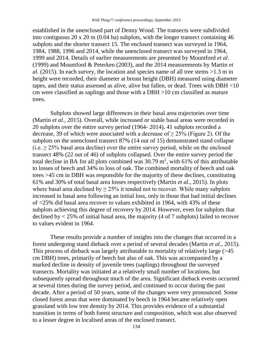established in the unenclosed part of Denny Wood. The transects were subdivided into contiguous 20 x 20 m (0.04 ha) subplots, with the longer transect containing 46 subplots and the shorter transect 15. The enclosed transect was surveyed in 1964, 1984, 1988, 1996 and 2014, while the unenclosed transect was surveyed in 1964, 1999 and 2014. Details of earlier measurements are presented by Mountford *et al*. (1999) and Mountford & Peterken (2003), and the 2014 measurements by Martin *et al*. (2015). In each survey, the location and species name of all tree stems >1.3 m in height were recorded, their diameter at breast height (DBH) measured using diameter tapes, and their status assessed as alive, alive but fallen, or dead. Trees with DBH <10 cm were classified as saplings and those with a DBH >10 cm classified as mature trees.

Subplots showed large differences in their basal area trajectories over time (Martin *et al.*, 2015). Overall, while increased or stable basal areas were recorded in 20 subplots over the entire survey period (1964- 2014), 41 subplots recorded a decrease, 39 of which were associated with a decrease of  $\geq$  25% (Figure 2). Of the subplots on the unenclosed transect 87% (14 out of 15) demonstrated stand collapse (i.e.  $\geq$  25% basal area decline) over the entire survey period, while on the enclosed transect 48% (22 out of 46) of subplots collapsed. Over the entire survey period the total decline in BA for all plots combined was  $30.79 \text{ m}^2$ , with 61% of this attributable to losses of beech and 34% to loss of oak. The combined mortality of beech and oak trees >45 cm in DBH was responsible for the majority of these declines, constituting 61% and 30% of total basal area losses respectively (Martin *et al*., 2015). In plots where basal area declined by  $\geq$  25% it tended not to recover. While many subplots increased in basal area following an initial loss, only in those that had initial declines of <25% did basal area recover to values exhibited in 1964, with 43% of these subplots achieving this degree of recovery by 2014. However, even for subplots that declined by < 25% of initial basal area, the majority (4 of 7 subplots) failed to recover to values evident in 1964.

These results provide a number of insights into the changes that occurred in a forest undergoing stand dieback over a period of several decades (Martin *et al*., 2015). This process of dieback was largely attributable to mortality of relatively large (>45 cm DBH) trees, primarily of beech but also of oak. This was accompanied by a marked decline in density of juvenile trees (saplings) throughout the surveyed transects. Mortality was initiated at a relatively small number of locations, but subsequently spread throughout much of the area. Significant dieback events occurred at several times during the survey period, and continued to occur during the past decade. After a period of 50 years, some of the changes were very pronounced. Some closed forest areas that were dominated by beech in 1964 became relatively open grassland with low tree density by 2014. This provides evidence of a substantial transition in terms of both forest structure and composition, which was also observed to a lesser degree in localised areas of the enclosed transect.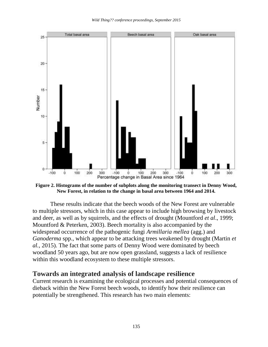

**Figure 2. Histograms of the number of subplots along the monitoring transect in Denny Wood, New Forest, in relation to the change in basal area between 1964 and 2014.**

These results indicate that the beech woods of the New Forest are vulnerable to multiple stressors, which in this case appear to include high browsing by livestock and deer, as well as by squirrels, and the effects of drought (Mountford *et al*., 1999; Mountford & Peterken, 2003). Beech mortality is also accompanied by the widespread occurrence of the pathogenic fungi *Armillaria mellea* (agg.) and *Ganoderma* spp., which appear to be attacking trees weakened by drought (Martin *et al.,* 2015). The fact that some parts of Denny Wood were dominated by beech woodland 50 years ago, but are now open grassland, suggests a lack of resilience within this woodland ecosystem to these multiple stressors.

#### **Towards an integrated analysis of landscape resilience**

Current research is examining the ecological processes and potential consequences of dieback within the New Forest beech woods, to identify how their resilience can potentially be strengthened. This research has two main elements: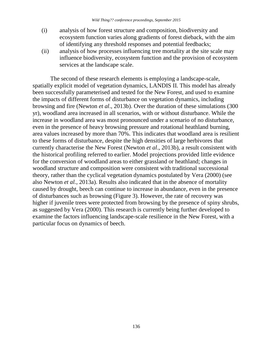- (i) analysis of how forest structure and composition, biodiversity and ecosystem function varies along gradients of forest dieback, with the aim of identifying any threshold responses and potential feedbacks;
- (ii) analysis of how processes influencing tree mortality at the site scale may influence biodiversity, ecosystem function and the provision of ecosystem services at the landscape scale.

The second of these research elements is employing a landscape-scale, spatially explicit model of vegetation dynamics, LANDIS II. This model has already been successfully parameterised and tested for the New Forest, and used to examine the impacts of different forms of disturbance on vegetation dynamics, including browsing and fire (Newton *et al*., 2013b). Over the duration of these simulations (300 yr), woodland area increased in all scenarios, with or without disturbance. While the increase in woodland area was most pronounced under a scenario of no disturbance, even in the presence of heavy browsing pressure and rotational heathland burning, area values increased by more than 70%. This indicates that woodland area is resilient to these forms of disturbance, despite the high densities of large herbivores that currently characterise the New Forest (Newton *et al*., 2013b), a result consistent with the historical profiling referred to earlier. Model projections provided little evidence for the conversion of woodland areas to either grassland or heathland; changes in woodland structure and composition were consistent with traditional successional theory, rather than the cyclical vegetation dynamics postulated by Vera (2000) (see also Newton *et al.*, 2013a). Results also indicated that in the absence of mortality caused by drought, beech can continue to increase in abundance, even in the presence of disturbances such as browsing (Figure 3). However, the rate of recovery was higher if juvenile trees were protected from browsing by the presence of spiny shrubs, as suggested by Vera (2000). This research is currently being further developed to examine the factors influencing landscape-scale resilience in the New Forest, with a particular focus on dynamics of beech.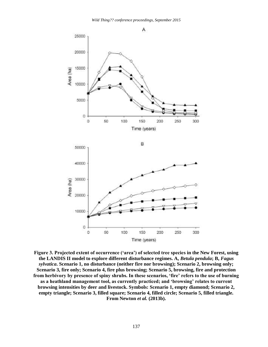

**Figure 3. Projected extent of occurrence ('area') of selected tree species in the New Forest, using the LANDIS II model to explore different disturbance regimes. A,** *Betula pendula***; B,** *Fagus sylvatica***. Scenario 1, no disturbance (neither fire nor browsing); Scenario 2, browsing only; Scenario 3, fire only; Scenario 4, fire plus browsing; Scenario 5, browsing, fire and protection from herbivory by presence of spiny shrubs. In these scenarios, 'fire' refers to the use of burning as a heathland management tool, as currently practiced; and 'browsing' relates to current browsing intensities by deer and livestock. Symbols: Scenario 1, empty diamond; Scenario 2, empty triangle; Scenario 3, filled square; Scenario 4, filled circle; Scenario 5, filled triangle. From Newton** *et al.* **(2013b).**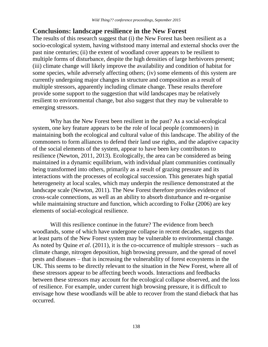#### **Conclusions: landscape resilience in the New Forest**

The results of this research suggest that (i) the New Forest has been resilient as a socio-ecological system, having withstood many internal and external shocks over the past nine centuries; (ii) the extent of woodland cover appears to be resilient to multiple forms of disturbance, despite the high densities of large herbivores present; (iii) climate change will likely improve the availability and condition of habitat for some species, while adversely affecting others; (iv) some elements of this system are currently undergoing major changes in structure and composition as a result of multiple stressors, apparently including climate change. These results therefore provide some support to the suggestion that wild landscapes may be relatively resilient to environmental change, but also suggest that they may be vulnerable to emerging stressors.

Why has the New Forest been resilient in the past? As a social-ecological system, one key feature appears to be the role of local people (commoners) in maintaining both the ecological and cultural value of this landscape. The ability of the commoners to form alliances to defend their land use rights, and the adaptive capacity of the social elements of the system, appear to have been key contributors to resilience (Newton, 2011, 2013). Ecologically, the area can be considered as being maintained in a dynamic equilibrium, with individual plant communities continually being transformed into others, primarily as a result of grazing pressure and its interactions with the processes of ecological succession. This generates high spatial heterogeneity at local scales, which may underpin the resilience demonstrated at the landscape scale (Newton, 2011). The New Forest therefore provides evidence of cross-scale connections, as well as an ability to absorb disturbance and re-organise while maintaining structure and function, which according to Folke (2006) are key elements of social-ecological resilience.

Will this resilience continue in the future? The evidence from beech woodlands, some of which have undergone collapse in recent decades, suggests that at least parts of the New Forest system may be vulnerable to environmental change. As noted by Quine *et al*. (2011), it is the co-occurrence of multiple stressors – such as climate change, nitrogen deposition, high browsing pressure, and the spread of novel pests and diseases – that is increasing the vulnerability of forest ecosystems in the UK. This seems to be directly relevant to the situation in the New Forest, where all of these stressors appear to be affecting beech woods. Interactions and feedbacks between these stressors may account for the ecological collapse observed, and the loss of resilience. For example, under current high browsing pressure, it is difficult to envisage how these woodlands will be able to recover from the stand dieback that has occurred.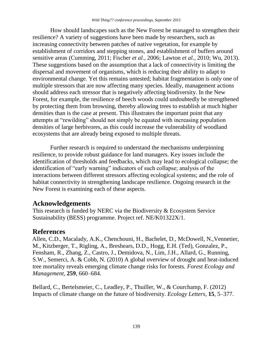How should landscapes such as the New Forest be managed to strengthen their resilience? A variety of suggestions have been made by researchers, such as increasing connectivity between patches of native vegetation, for example by establishment of corridors and stepping stones, and establishment of buffers around sensitive areas (Cumming, 2011; Fischer *et al.,* 2006; Lawton *et al.*, 2010; Wu, 2013). These suggestions based on the assumption that a lack of connectivity is limiting the dispersal and movement of organisms, which is reducing their ability to adapt to environmental change. Yet this remains untested; habitat fragmentation is only one of multiple stressors that are now affecting many species. Ideally, management actions should address each stressor that is negatively affecting biodiversity. In the New Forest, for example, the resilience of beech woods could undoubtedly be strengthened by protecting them from browsing, thereby allowing trees to establish at much higher densities than is the case at present. This illustrates the important point that any attempts at "rewilding" should not simply be equated with increasing population densities of large herbivores, as this could increase the vulnerability of woodland ecosystems that are already being exposed to multiple threats.

Further research is required to understand the mechanisms underpinning resilience, to provide robust guidance for land managers. Key issues include the identification of thresholds and feedbacks, which may lead to ecological collapse; the identification of "early warning" indicators of such collapse; analysis of the interactions between different stressors affecting ecological systems; and the role of habitat connectivity in strengthening landscape resilience. Ongoing research in the New Forest is examining each of these aspects.

#### **Acknowledgements**

This research is funded by NERC via the Biodiversity & Ecosystem Service Sustainability (BESS) programme. Project ref. NE/K01322X/1.

#### **References**

Allen, C.D., Macalady, A.K., Chenchouni, H., Bachelet, D., McDowell, N.,Vennetier, M., Kitzberger, T., Rigling, A., Breshears, D.D., Hogg, E.H. (Ted), Gonzalez, P., Fensham, R., Zhang, Z., Castro, J., Demidova, N., Lim, J.H., Allard, G., Running, S.W., Semerci, A. & Cobb, N. (2010) A global overview of drought and heat-induced tree mortality reveals emerging climate change risks for forests. *Forest Ecology and Management*, **259**, 660–684.

Bellard, C., Bertelsmeier, C., Leadley, P., Thuiller, W., & Courchamp, F. (2012) Impacts of climate change on the future of biodiversity. *Ecology Letters*, **15**, 5–377.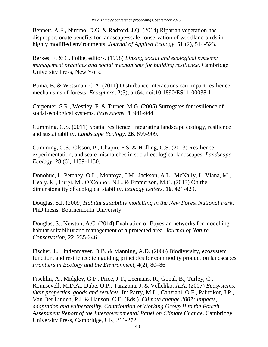Bennett, A.F., Nimmo, D.G. & Radford, J.Q. (2014) Riparian vegetation has disproportionate benefits for landscape‐scale conservation of woodland birds in highly modified environments. *Journal of Applied Ecology*, **51** (2), 514-523.

Berkes, F. & C. Folke, editors. (1998) *Linking social and ecological systems: management practices and social mechanisms for building resilience*. Cambridge University Press, New York.

Buma, B. & Wessman, C.A. (2011) Disturbance interactions can impact resilience mechanisms of forests. *Ecosphere,* **2**(5), art64. doi:10.1890/ES11-00038.1

Carpenter, S.R., Westley, F. & Turner, M.G. (2005) Surrogates for resilience of social-ecological systems. *Ecosystems,* **8**, 941-944.

Cumming, G.S. (2011) Spatial resilience: integrating landscape ecology, resilience and sustainability. *Landscape Ecology,* **26**, 899-909.

Cumming, G.S., Olsson, P., Chapin, F.S. & Holling, C.S. (2013) Resilience, experimentation, and scale mismatches in social-ecological landscapes. *Landscape Ecology,* **28** (6), 1139-1150.

Donohue, I., Petchey, O.L., Montoya, J.M., Jackson, A.L., McNally, L, Viana, M., Healy, K., Lurgi, M., O'Connor, N.E. & Emmerson, M.C. (2013) On the dimensionality of ecological stability. *Ecology Letters,* **16**, 421-429.

Douglas, S.J. (2009) *Habitat suitability modelling in the New Forest National Park*. PhD thesis, Bournemouth University.

Douglas, S., Newton, A.C. (2014) Evaluation of Bayesian networks for modelling habitat suitability and management of a protected area. *Journal of Nature Conservation,* **22**, 235-246.

Fischer, J., Lindenmayer, D.B. & Manning, A.D. (2006) Biodiversity, ecosystem function, and resilience: ten guiding principles for commodity production landscapes. *Frontiers in Ecology and the Environment*, **4**(2), 80–86.

Fischlin, A., Midgley, G.F., Price, J.T., Leemans, R., Gopal, B., Turley, C., Rounsevell, M.D.A., Dube, O.P., Tarazona, J. & Vellchko, A.A. (2007) *Ecosystems, their properties, goods and services*. In: Parry, M.L., Canziani, O.F., Palutikof, J.P., Van Der Linden, P.J. & Hanson, C.E. (Eds.). *Climate change 2007: Impacts, adaptation and vulnerability. Contribution of Working Group II to the Fourth Assessment Report of the Intergovernmental Panel on Climate Change*. Cambridge University Press, Cambridge, UK, 211-272.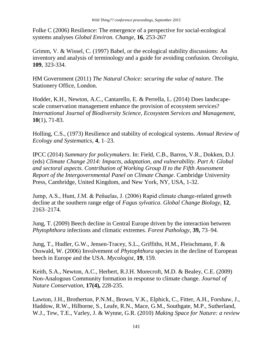Folke C (2006) Resilience: The emergence of a perspective for social-ecological systems analyses *Global Environ. Change*, **16**, 253-267

Grimm, V. & Wissel, C. (1997) Babel, or the ecological stability discussions: An inventory and analysis of terminology and a guide for avoiding confusion. *Oecologia,* **109**, 323-334.

HM Government (2011) *The Natural Choice: securing the value of nature*. The Stationery Office, London.

Hodder, K.H., Newton, A.C., Cantarello, E. & Perrella, L. (2014) Does landscapescale conservation management enhance the provision of ecosystem services? *International Journal of Biodiversity Science, Ecosystem Services and Management*, **10**(1), 71-83.

Holling, C.S., (1973) Resilience and stability of ecological systems. *Annual Review of Ecology and Systematics,* **4**, 1–23.

IPCC (2014) *Summary for policymakers*. In: Field, C.B., Barros, V.R., Dokken, D.J. (eds) *Climate Change 2014: Impacts, adaptation, and vulnerability. Part A: Global and sectoral aspects. Contribution of Working Group II to the Fifth Assessment Report of the Intergovernmental Panel on Climate Change*. Cambridge University Press, Cambridge, United Kingdom, and New York, NY, USA, 1-32.

Jump, A.S., Hunt, J.M. & Pen̈uelas, J. (2006) Rapid climate change-related growth decline at the southern range edge of *Fagus sylvatica*. *Global Change Biology*, **12**, 2163–2174.

Jung, T. (2009) Beech decline in Central Europe driven by the interaction between *Phytophthora* infections and climatic extremes. *Forest Pathology*, **39,** 73–94.

Jung, T., Hudler, G.W., Jensen-Tracey, S.L., Griffiths, H.M., Fleischmann, F. & Osswald, W. (2006) Involvement of *Phytophthora* species in the decline of European beech in Europe and the USA. *Mycologist*, **19**, 159.

Keith, S.A., Newton, A.C., Herbert, R.J.H. Morecroft, M.D. & Bealey, C.E. (2009) Non-Analogous Community formation in response to climate change. *Journal of Nature Conservation,* **17(4),** 228-235.

Lawton, J.H., Brotherton, P.N.M., Brown, V.K., Elphick, C., Fitter, A.H., Forshaw, J., Haddow, R.W., Hilborne, S., Leafe, R.N., Mace, G.M., Southgate, M.P., Sutherland, W.J., Tew, T.E., Varley, J. & Wynne, G.R. (2010) *Making Space for Nature: a review*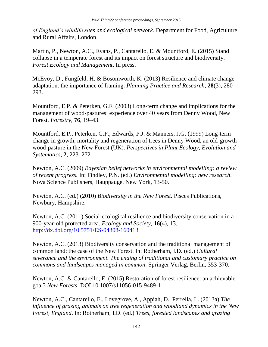*of England's wildlife sites and ecological network*. Department for Food, Agriculture and Rural Affairs, London.

Martin, P., Newton, A.C., Evans, P., Cantarello, E. & Mountford, E. (2015) Stand collapse in a temperate forest and its impact on forest structure and biodiversity. *Forest Ecology and Management*. In press.

McEvoy, D., Füngfeld, H. & Bosomworth, K. (2013) Resilience and climate change adaptation: the importance of framing. *Planning Practice and Research*, **28**(3), 280- 293.

Mountford, E.P. & Peterken, G.F. (2003) Long-term change and implications for the management of wood-pastures: experience over 40 years from Denny Wood, New Forest. *Forestry,* **76**, 19–43.

Mountford, E.P., Peterken, G.F., Edwards, P.J. & Manners, J.G. (1999) Long-term change in growth, mortality and regeneration of trees in Denny Wood, an old-growth wood-pasture in the New Forest (UK). *Perspectives in Plant Ecology, Evolution and Systematics*, **2**, 223–272.

Newton, A.C. (2009) *Bayesian belief networks in environmental modelling: a review of recent progress.* In: Findley, P.N. (ed.) *Environmental modelling: new research*. Nova Science Publishers, Hauppauge, New York, 13-50.

Newton, A.C. (ed.) (2010) *Biodiversity in the New Forest*. Pisces Publications, Newbury, Hampshire.

Newton, A.C. (2011) Social-ecological resilience and biodiversity conservation in a 900-year-old protected area. *Ecology and Society*, **16**(4), 13. <http://dx.doi.org/10.5751/ES-04308-160413>

Newton, A.C. (2013) Biodiversity conservation and the traditional management of common land: the case of the New Forest. In: Rotherham, I.D. (ed.) *Cultural severance and the environment. The ending of traditional and customary practice on commons and landscapes managed in common*. Springer Verlag, Berlin, 353-370.

Newton, A.C. & Cantarello, E. (2015) Restoration of forest resilience: an achievable goal? *New Forests*. DOI 10.1007/s11056-015-9489-1

Newton, A.C., Cantarello, E., Lovegrove, A., Appiah, D., Perrella, L. (2013a) *The influence of grazing animals on tree regeneration and woodland dynamics in the New Forest, England*. In: Rotherham, I.D. (ed.) *Trees, forested landscapes and grazing*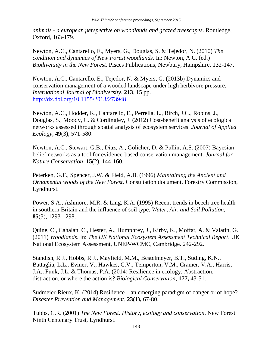*animals - a european perspective on woodlands and grazed treescapes*. Routledge, Oxford, 163-179.

Newton, A.C., Cantarello, E., Myers, G., Douglas, S. & Tejedor, N. (2010) *The condition and dynamics of New Forest woodlands*. In: Newton, A.C. (ed.) *Biodiversity in the New Forest*. Pisces Publications, Newbury, Hampshire. 132-147.

Newton, A.C., Cantarello, E., Tejedor, N. & Myers, G. (2013b) Dynamics and conservation management of a wooded landscape under high herbivore pressure. *International Journal of Biodiversity*, **213**, 15 pp. <http://dx.doi.org/10.1155/2013/273948>

Newton, A.C., Hodder, K., Cantarello, E., Perrella, L., Birch, J.C., Robins, J., Douglas, S., Moody, C. & Cordingley, J. (2012) Cost-benefit analysis of ecological networks assessed through spatial analysis of ecosystem services. *Journal of Applied Ecology,* **49**(3), 571-580.

Newton, A.C., Stewart, G.B., Diaz, A., Golicher, D. & Pullin, A.S. (2007) Bayesian belief networks as a tool for evidence-based conservation management. *Journal for Nature Conservation*, **15**(2), 144-160.

Peterken, G.F., Spencer, J.W. & Field, A.B. (1996) *Maintaining the Ancient and Ornamental woods of the New Forest*. Consultation document. Forestry Commission, Lyndhurst.

Power, S.A., Ashmore, M.R. & Ling, K.A. (1995) Recent trends in beech tree health in southern Britain and the influence of soil type. *Water, Air, and Soil Pollution*, **85**(3), 1293-1298.

Quine, C., Cahalan, C., Hester, A., Humphrey, J., Kirby, K., Moffat, A. & Valatin, G. (2011) *Woodlands*. In: *The UK National Ecosystem Assessment Technical Report*. UK National Ecosystem Assessment, UNEP-WCMC, Cambridge. 242-292.

Standish, R.J., Hobbs, R.J., Mayfield, M.M., Bestelmeyer, B.T., Suding, K.N., Battaglia, L.L., Eviner, V., Hawkes, C.V., Temperton, V.M., Cramer, V.A., Harris, J.A., Funk, J.L. & Thomas, P.A. (2014) Resilience in ecology: Abstraction, distraction, or where the action is? *Biological Conservation*, **177,** 43-51.

Sudmeier-Rieux, K. (2014) Resilience – an emerging paradigm of danger or of hope? *Disaster Prevention and Management*, **23(1),** 67-80.

Tubbs, C.R. (2001) *The New Forest. History, ecology and conservation*. New Forest Ninth Centenary Trust, Lyndhurst.